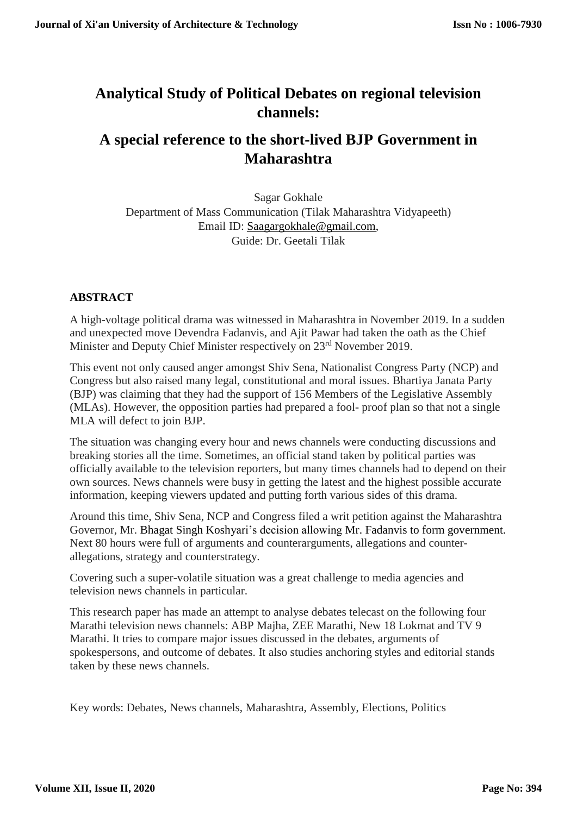# **Analytical Study of Political Debates on regional television channels:**

# **A special reference to the short-lived BJP Government in Maharashtra**

Sagar Gokhale Department of Mass Communication (Tilak Maharashtra Vidyapeeth) Email ID: [Saagargokhale@gmail.com,](mailto:Saagargokhale@gmail.com) Guide: Dr. Geetali Tilak

# **ABSTRACT**

A high-voltage political drama was witnessed in Maharashtra in November 2019. In a sudden and unexpected move Devendra Fadanvis, and Ajit Pawar had taken the oath as the Chief Minister and Deputy Chief Minister respectively on 23<sup>rd</sup> November 2019.

This event not only caused anger amongst Shiv Sena, Nationalist Congress Party (NCP) and Congress but also raised many legal, constitutional and moral issues. Bhartiya Janata Party (BJP) was claiming that they had the support of 156 Members of the Legislative Assembly (MLAs). However, the opposition parties had prepared a fool- proof plan so that not a single MLA will defect to join BJP.

The situation was changing every hour and news channels were conducting discussions and breaking stories all the time. Sometimes, an official stand taken by political parties was officially available to the television reporters, but many times channels had to depend on their own sources. News channels were busy in getting the latest and the highest possible accurate information, keeping viewers updated and putting forth various sides of this drama.

Around this time, Shiv Sena, NCP and Congress filed a writ petition against the Maharashtra Governor, Mr. Bhagat Singh Koshyari's decision allowing Mr. Fadanvis to form government. Next 80 hours were full of arguments and counterarguments, allegations and counterallegations, strategy and counterstrategy.

Covering such a super-volatile situation was a great challenge to media agencies and television news channels in particular.

This research paper has made an attempt to analyse debates telecast on the following four Marathi television news channels: ABP Majha, ZEE Marathi, New 18 Lokmat and TV 9 Marathi. It tries to compare major issues discussed in the debates, arguments of spokespersons, and outcome of debates. It also studies anchoring styles and editorial stands taken by these news channels.

Key words: Debates, News channels, Maharashtra, Assembly, Elections, Politics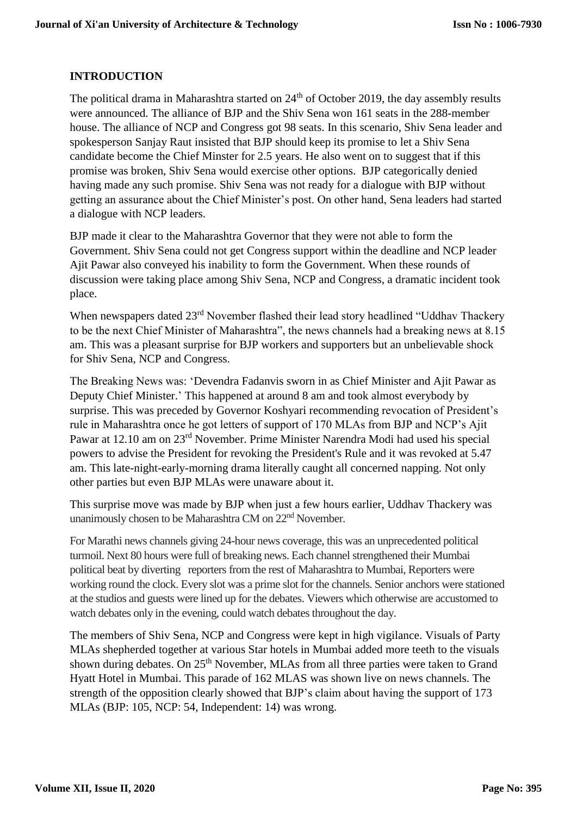# **INTRODUCTION**

The political drama in Maharashtra started on  $24<sup>th</sup>$  of October 2019, the day assembly results were announced. The alliance of BJP and the Shiv Sena won 161 seats in the 288-member house. The alliance of NCP and Congress got 98 seats. In this scenario, Shiv Sena leader and spokesperson Sanjay Raut insisted that BJP should keep its promise to let a Shiv Sena candidate become the Chief Minster for 2.5 years. He also went on to suggest that if this promise was broken, Shiv Sena would exercise other options. BJP categorically denied having made any such promise. Shiv Sena was not ready for a dialogue with BJP without getting an assurance about the Chief Minister's post. On other hand, Sena leaders had started a dialogue with NCP leaders.

BJP made it clear to the Maharashtra Governor that they were not able to form the Government. Shiv Sena could not get Congress support within the deadline and NCP leader Ajit Pawar also conveyed his inability to form the Government. When these rounds of discussion were taking place among Shiv Sena, NCP and Congress, a dramatic incident took place.

When newspapers dated 23<sup>rd</sup> November flashed their lead story headlined "Uddhav Thackery to be the next Chief Minister of Maharashtra", the news channels had a breaking news at 8.15 am. This was a pleasant surprise for BJP workers and supporters but an unbelievable shock for Shiv Sena, NCP and Congress.

The Breaking News was: 'Devendra Fadanvis sworn in as Chief Minister and Ajit Pawar as Deputy Chief Minister.' This happened at around 8 am and took almost everybody by surprise. This was preceded by Governor Koshyari recommending revocation of President's rule in Maharashtra once he got letters of support of 170 MLAs from BJP and NCP's Ajit Pawar at 12.10 am on 23rd November. Prime Minister Narendra Modi had used his special powers to advise the President for revoking the President's Rule and it was revoked at 5.47 am. This late-night-early-morning drama literally caught all concerned napping. Not only other parties but even BJP MLAs were unaware about it.

This surprise move was made by BJP when just a few hours earlier, Uddhav Thackery was unanimously chosen to be Maharashtra CM on 22nd November.

For Marathi news channels giving 24-hour news coverage, this was an unprecedented political turmoil. Next 80 hours were full of breaking news. Each channel strengthened their Mumbai political beat by diverting reporters from the rest of Maharashtra to Mumbai, Reporters were working round the clock. Every slot was a prime slot for the channels. Senior anchors were stationed at the studios and guests were lined up for the debates. Viewers which otherwise are accustomed to watch debates only in the evening, could watch debates throughout the day.

The members of Shiv Sena, NCP and Congress were kept in high vigilance. Visuals of Party MLAs shepherded together at various Star hotels in Mumbai added more teeth to the visuals shown during debates. On 25<sup>th</sup> November, MLAs from all three parties were taken to Grand Hyatt Hotel in Mumbai. This parade of 162 MLAS was shown live on news channels. The strength of the opposition clearly showed that BJP's claim about having the support of 173 MLAs (BJP: 105, NCP: 54, Independent: 14) was wrong.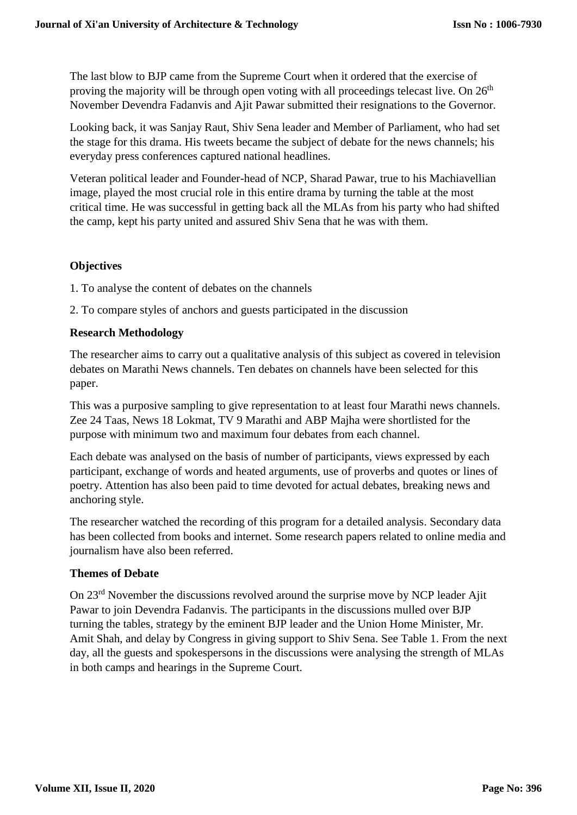The last blow to BJP came from the Supreme Court when it ordered that the exercise of proving the majority will be through open voting with all proceedings telecast live. On  $26<sup>th</sup>$ November Devendra Fadanvis and Ajit Pawar submitted their resignations to the Governor.

Looking back, it was Sanjay Raut, Shiv Sena leader and Member of Parliament, who had set the stage for this drama. His tweets became the subject of debate for the news channels; his everyday press conferences captured national headlines.

Veteran political leader and Founder-head of NCP, Sharad Pawar, true to his Machiavellian image, played the most crucial role in this entire drama by turning the table at the most critical time. He was successful in getting back all the MLAs from his party who had shifted the camp, kept his party united and assured Shiv Sena that he was with them.

## **Objectives**

1. To analyse the content of debates on the channels

2. To compare styles of anchors and guests participated in the discussion

#### **Research Methodology**

The researcher aims to carry out a qualitative analysis of this subject as covered in television debates on Marathi News channels. Ten debates on channels have been selected for this paper.

This was a purposive sampling to give representation to at least four Marathi news channels. Zee 24 Taas, News 18 Lokmat, TV 9 Marathi and ABP Majha were shortlisted for the purpose with minimum two and maximum four debates from each channel.

Each debate was analysed on the basis of number of participants, views expressed by each participant, exchange of words and heated arguments, use of proverbs and quotes or lines of poetry. Attention has also been paid to time devoted for actual debates, breaking news and anchoring style.

The researcher watched the recording of this program for a detailed analysis. Secondary data has been collected from books and internet. Some research papers related to online media and journalism have also been referred.

#### **Themes of Debate**

On 23rd November the discussions revolved around the surprise move by NCP leader Ajit Pawar to join Devendra Fadanvis. The participants in the discussions mulled over BJP turning the tables, strategy by the eminent BJP leader and the Union Home Minister, Mr. Amit Shah, and delay by Congress in giving support to Shiv Sena. See Table 1. From the next day, all the guests and spokespersons in the discussions were analysing the strength of MLAs in both camps and hearings in the Supreme Court.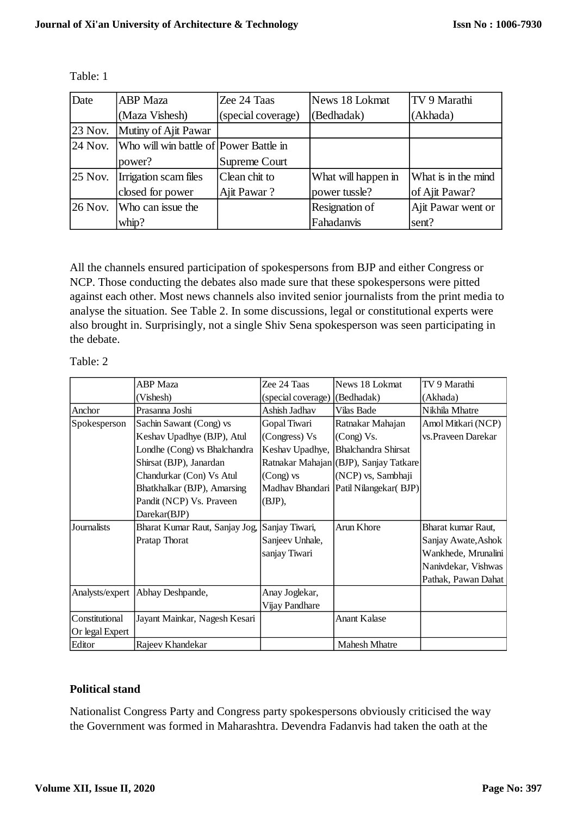| Date      | <b>ABP</b> Maza                                | Zee 24 Taas        | News 18 Lokmat      | TV 9 Marathi        |
|-----------|------------------------------------------------|--------------------|---------------------|---------------------|
|           | (Maza Vishesh)                                 | (special coverage) | (Bedhadak)          | (Akhada)            |
| $23$ Nov. | Mutiny of Ajit Pawar                           |                    |                     |                     |
|           | 24 Nov. Who will win battle of Power Battle in |                    |                     |                     |
|           | power?                                         | Supreme Court      |                     |                     |
| $25$ Nov. | Irrigation scam files                          | Clean chit to      | What will happen in | What is in the mind |
|           | closed for power                               | Ajit Pawar?        | power tussle?       | of Ajit Pawar?      |
|           | $26$ Nov. Who can issue the                    |                    | Resignation of      | Ajit Pawar went or  |
|           | whip?                                          |                    | Fahadanvis          | sent?               |

Table: 1

All the channels ensured participation of spokespersons from BJP and either Congress or NCP. Those conducting the debates also made sure that these spokespersons were pitted against each other. Most news channels also invited senior journalists from the print media to analyse the situation. See Table 2. In some discussions, legal or constitutional experts were also brought in. Surprisingly, not a single Shiv Sena spokesperson was seen participating in the debate.

|                              | <b>ABP</b> Maza                    | Zee 24 Taas                   | News 18 Lokmat                         | TV 9 Marathi        |
|------------------------------|------------------------------------|-------------------------------|----------------------------------------|---------------------|
|                              | (Vishesh)                          | (special coverage) (Bedhadak) |                                        | (Akhada)            |
| Anchor                       | Prasanna Joshi                     | Ashish Jadhav                 | Vilas Bade                             | Nikhila Mhatre      |
| Spokesperson                 | Sachin Sawant (Cong) vs            | Gopal Tiwari                  | Ratnakar Mahajan                       | Amol Mitkari (NCP)  |
|                              | Keshav Upadhye (BJP), Atul         | (Congress) Vs                 | (Cong) Vs.                             | vs. Praveen Darekar |
| Londhe (Cong) vs Bhalchandra |                                    | Keshav Upadhye,               | <b>Bhalchandra Shirsat</b>             |                     |
| Shirsat (BJP), Janardan      |                                    |                               | Ratnakar Mahajan (BJP), Sanjay Tatkare |                     |
|                              | Chandurkar (Con) Vs Atul           | $(Cong)$ vs                   | (NCP) vs, Sambhaji                     |                     |
|                              | Bhatkhalkar (BJP), Amarsing        |                               | Madhav Bhandari Patil Nilangekar(BJP)  |                     |
|                              | Pandit (NCP) Vs. Praveen           | (BJP),                        |                                        |                     |
|                              | Darekar(BJP)                       |                               |                                        |                     |
| Journalists                  | Bharat Kumar Raut, Sanjay Jog,     | Sanjay Tiwari,                | Arun Khore                             | Bharat kumar Raut,  |
|                              | Pratap Thorat                      | Sanjeev Unhale,               |                                        | Sanjay Awate, Ashok |
|                              |                                    | sanjay Tiwari                 |                                        | Wankhede, Mrunalini |
|                              |                                    |                               |                                        | Nanivdekar, Vishwas |
|                              |                                    |                               |                                        | Pathak, Pawan Dahat |
|                              | Analysts/expert   Abhay Deshpande, | Anay Joglekar,                |                                        |                     |
|                              |                                    | Vijay Pandhare                |                                        |                     |
| Constitutional               | Jayant Mainkar, Nagesh Kesari      |                               | <b>Anant Kalase</b>                    |                     |
| Or legal Expert              |                                    |                               |                                        |                     |
| Editor                       | Rajeev Khandekar                   |                               | <b>Mahesh Mhatre</b>                   |                     |

#### **Political stand**

Nationalist Congress Party and Congress party spokespersons obviously criticised the way the Government was formed in Maharashtra. Devendra Fadanvis had taken the oath at the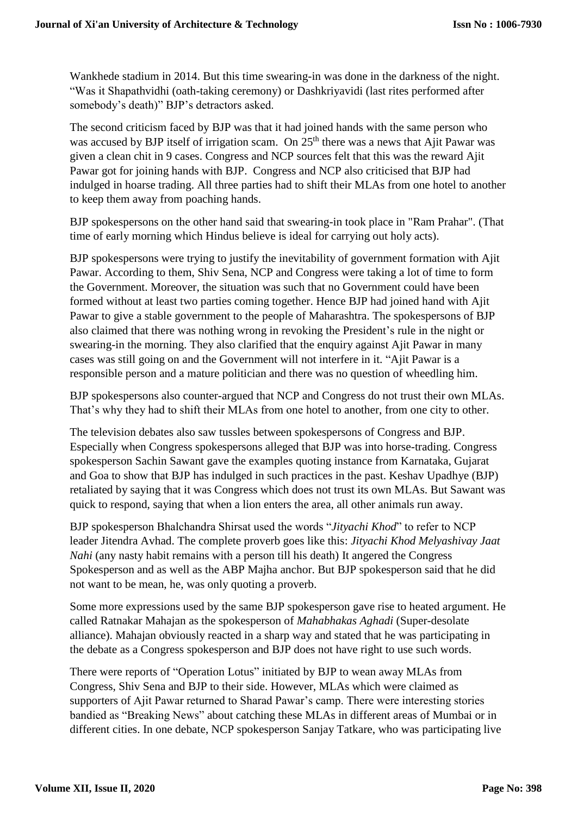Wankhede stadium in 2014. But this time swearing-in was done in the darkness of the night. "Was it Shapathvidhi (oath-taking ceremony) or Dashkriyavidi (last rites performed after somebody's death)" BJP's detractors asked.

The second criticism faced by BJP was that it had joined hands with the same person who was accused by BJP itself of irrigation scam. On 25<sup>th</sup> there was a news that Ajit Pawar was given a clean chit in 9 cases. Congress and NCP sources felt that this was the reward Ajit Pawar got for joining hands with BJP. Congress and NCP also criticised that BJP had indulged in hoarse trading. All three parties had to shift their MLAs from one hotel to another to keep them away from poaching hands.

BJP spokespersons on the other hand said that swearing-in took place in "Ram Prahar". (That time of early morning which Hindus believe is ideal for carrying out holy acts).

BJP spokespersons were trying to justify the inevitability of government formation with Ajit Pawar. According to them, Shiv Sena, NCP and Congress were taking a lot of time to form the Government. Moreover, the situation was such that no Government could have been formed without at least two parties coming together. Hence BJP had joined hand with Ajit Pawar to give a stable government to the people of Maharashtra. The spokespersons of BJP also claimed that there was nothing wrong in revoking the President's rule in the night or swearing-in the morning. They also clarified that the enquiry against Ajit Pawar in many cases was still going on and the Government will not interfere in it. "Ajit Pawar is a responsible person and a mature politician and there was no question of wheedling him.

BJP spokespersons also counter-argued that NCP and Congress do not trust their own MLAs. That's why they had to shift their MLAs from one hotel to another, from one city to other.

The television debates also saw tussles between spokespersons of Congress and BJP. Especially when Congress spokespersons alleged that BJP was into horse-trading. Congress spokesperson Sachin Sawant gave the examples quoting instance from Karnataka, Gujarat and Goa to show that BJP has indulged in such practices in the past. Keshav Upadhye (BJP) retaliated by saying that it was Congress which does not trust its own MLAs. But Sawant was quick to respond, saying that when a lion enters the area, all other animals run away.

BJP spokesperson Bhalchandra Shirsat used the words "*Jityachi Khod*" to refer to NCP leader Jitendra Avhad. The complete proverb goes like this: *Jityachi Khod Melyashivay Jaat Nahi* (any nasty habit remains with a person till his death) It angered the Congress Spokesperson and as well as the ABP Majha anchor. But BJP spokesperson said that he did not want to be mean, he, was only quoting a proverb.

Some more expressions used by the same BJP spokesperson gave rise to heated argument. He called Ratnakar Mahajan as the spokesperson of *Mahabhakas Aghadi* (Super-desolate alliance). Mahajan obviously reacted in a sharp way and stated that he was participating in the debate as a Congress spokesperson and BJP does not have right to use such words.

There were reports of "Operation Lotus" initiated by BJP to wean away MLAs from Congress, Shiv Sena and BJP to their side. However, MLAs which were claimed as supporters of Ajit Pawar returned to Sharad Pawar's camp. There were interesting stories bandied as "Breaking News" about catching these MLAs in different areas of Mumbai or in different cities. In one debate, NCP spokesperson Sanjay Tatkare, who was participating live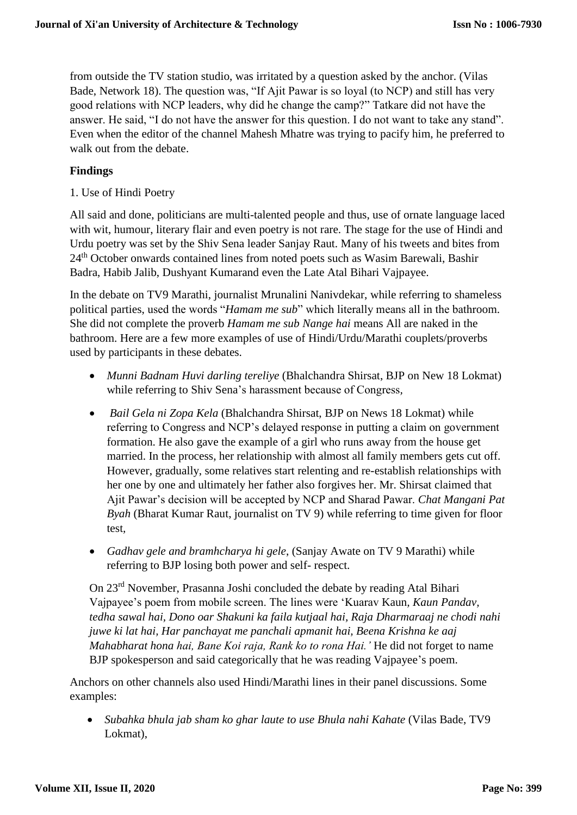from outside the TV station studio, was irritated by a question asked by the anchor. (Vilas Bade, Network 18). The question was, "If Ajit Pawar is so loyal (to NCP) and still has very good relations with NCP leaders, why did he change the camp?" Tatkare did not have the answer. He said, "I do not have the answer for this question. I do not want to take any stand". Even when the editor of the channel Mahesh Mhatre was trying to pacify him, he preferred to walk out from the debate.

## **Findings**

1. Use of Hindi Poetry

All said and done, politicians are multi-talented people and thus, use of ornate language laced with wit, humour, literary flair and even poetry is not rare. The stage for the use of Hindi and Urdu poetry was set by the Shiv Sena leader Sanjay Raut. Many of his tweets and bites from 24th October onwards contained lines from noted poets such as Wasim Barewali, Bashir Badra, Habib Jalib, Dushyant Kumarand even the Late Atal Bihari Vajpayee.

In the debate on TV9 Marathi, journalist Mrunalini Nanivdekar, while referring to shameless political parties, used the words "*Hamam me sub*" which literally means all in the bathroom. She did not complete the proverb *Hamam me sub Nange hai* means All are naked in the bathroom. Here are a few more examples of use of Hindi/Urdu/Marathi couplets/proverbs used by participants in these debates.

- *Munni Badnam Huvi darling tereliye* (Bhalchandra Shirsat, BJP on New 18 Lokmat) while referring to Shiv Sena's harassment because of Congress*,*
- *Bail Gela ni Zopa Kela* (Bhalchandra Shirsat, BJP on News 18 Lokmat) while referring to Congress and NCP's delayed response in putting a claim on government formation. He also gave the example of a girl who runs away from the house get married. In the process, her relationship with almost all family members gets cut off. However, gradually, some relatives start relenting and re-establish relationships with her one by one and ultimately her father also forgives her. Mr. Shirsat claimed that Ajit Pawar's decision will be accepted by NCP and Sharad Pawar. *Chat Mangani Pat Byah* (Bharat Kumar Raut, journalist on TV 9) while referring to time given for floor test*,*
- *Gadhav gele and bramhcharya hi gele*, (Sanjay Awate on TV 9 Marathi) while referring to BJP losing both power and self- respect.

On 23rd November, Prasanna Joshi concluded the debate by reading Atal Bihari Vajpayee's poem from mobile screen. The lines were 'Kuarav Kaun*, Kaun Pandav, tedha sawal hai, Dono oar Shakuni ka faila kutjaal hai, Raja Dharmaraaj ne chodi nahi juwe ki lat hai, Har panchayat me panchali apmanit hai, Beena Krishna ke aaj Mahabharat hona hai, Bane Koi raja, Rank ko to rona Hai.'* He did not forget to name BJP spokesperson and said categorically that he was reading Vajpayee's poem.

Anchors on other channels also used Hindi/Marathi lines in their panel discussions. Some examples:

 *Subahka bhula jab sham ko ghar laute to use Bhula nahi Kahate* (Vilas Bade, TV9 Lokmat),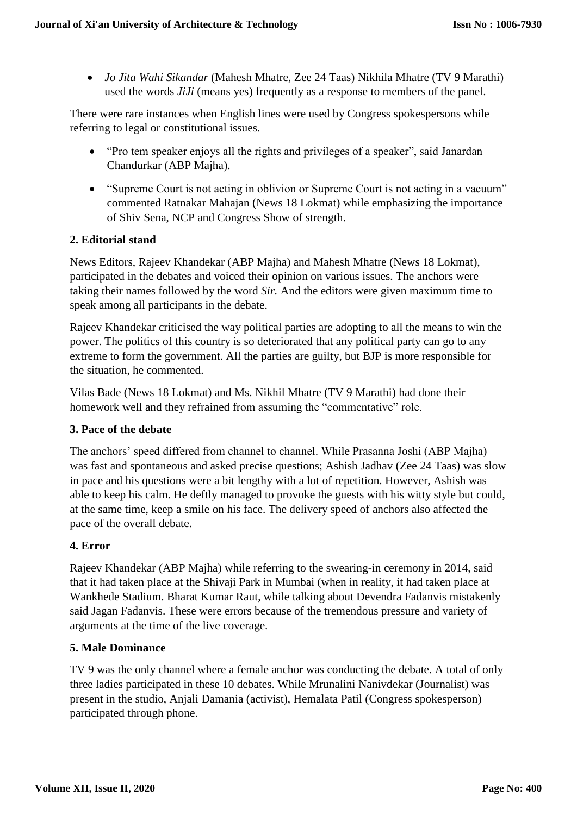*Jo Jita Wahi Sikandar* (Mahesh Mhatre, Zee 24 Taas) Nikhila Mhatre (TV 9 Marathi) used the words *JiJi* (means yes) frequently as a response to members of the panel.

There were rare instances when English lines were used by Congress spokespersons while referring to legal or constitutional issues.

- "Pro tem speaker enjoys all the rights and privileges of a speaker", said Janardan Chandurkar (ABP Majha).
- "Supreme Court is not acting in oblivion or Supreme Court is not acting in a vacuum" commented Ratnakar Mahajan (News 18 Lokmat) while emphasizing the importance of Shiv Sena, NCP and Congress Show of strength.

# **2. Editorial stand**

News Editors, Rajeev Khandekar (ABP Majha) and Mahesh Mhatre (News 18 Lokmat), participated in the debates and voiced their opinion on various issues. The anchors were taking their names followed by the word *Sir.* And the editors were given maximum time to speak among all participants in the debate.

Rajeev Khandekar criticised the way political parties are adopting to all the means to win the power. The politics of this country is so deteriorated that any political party can go to any extreme to form the government. All the parties are guilty, but BJP is more responsible for the situation, he commented.

Vilas Bade (News 18 Lokmat) and Ms. Nikhil Mhatre (TV 9 Marathi) had done their homework well and they refrained from assuming the "commentative" role.

# **3. Pace of the debate**

The anchors' speed differed from channel to channel. While Prasanna Joshi (ABP Majha) was fast and spontaneous and asked precise questions; Ashish Jadhav (Zee 24 Taas) was slow in pace and his questions were a bit lengthy with a lot of repetition. However, Ashish was able to keep his calm. He deftly managed to provoke the guests with his witty style but could, at the same time, keep a smile on his face. The delivery speed of anchors also affected the pace of the overall debate.

# **4. Error**

Rajeev Khandekar (ABP Majha) while referring to the swearing-in ceremony in 2014, said that it had taken place at the Shivaji Park in Mumbai (when in reality, it had taken place at Wankhede Stadium. Bharat Kumar Raut, while talking about Devendra Fadanvis mistakenly said Jagan Fadanvis. These were errors because of the tremendous pressure and variety of arguments at the time of the live coverage.

#### **5. Male Dominance**

TV 9 was the only channel where a female anchor was conducting the debate. A total of only three ladies participated in these 10 debates. While Mrunalini Nanivdekar (Journalist) was present in the studio, Anjali Damania (activist), Hemalata Patil (Congress spokesperson) participated through phone.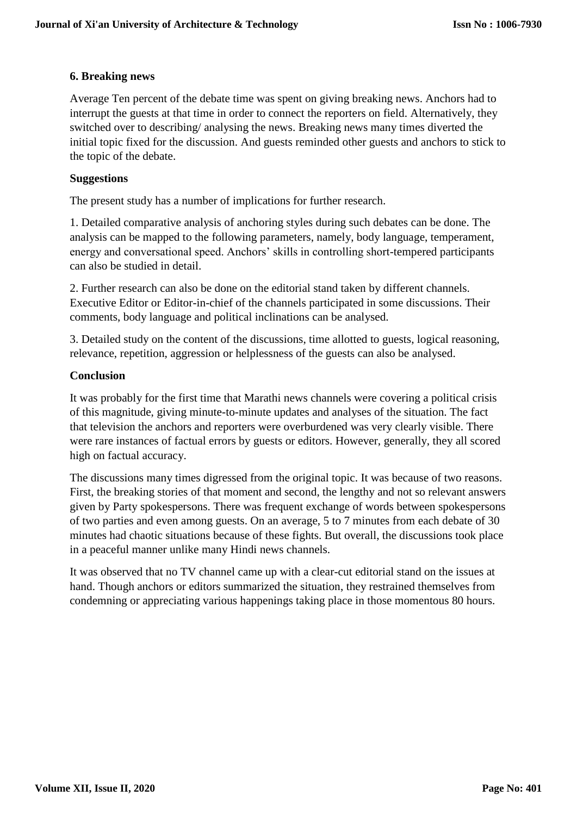## **6. Breaking news**

Average Ten percent of the debate time was spent on giving breaking news. Anchors had to interrupt the guests at that time in order to connect the reporters on field. Alternatively, they switched over to describing/ analysing the news. Breaking news many times diverted the initial topic fixed for the discussion. And guests reminded other guests and anchors to stick to the topic of the debate.

## **Suggestions**

The present study has a number of implications for further research.

1. Detailed comparative analysis of anchoring styles during such debates can be done. The analysis can be mapped to the following parameters, namely, body language, temperament, energy and conversational speed. Anchors' skills in controlling short-tempered participants can also be studied in detail.

2. Further research can also be done on the editorial stand taken by different channels. Executive Editor or Editor-in-chief of the channels participated in some discussions. Their comments, body language and political inclinations can be analysed.

3. Detailed study on the content of the discussions, time allotted to guests, logical reasoning, relevance, repetition, aggression or helplessness of the guests can also be analysed.

## **Conclusion**

It was probably for the first time that Marathi news channels were covering a political crisis of this magnitude, giving minute-to-minute updates and analyses of the situation. The fact that television the anchors and reporters were overburdened was very clearly visible. There were rare instances of factual errors by guests or editors. However, generally, they all scored high on factual accuracy.

The discussions many times digressed from the original topic. It was because of two reasons. First, the breaking stories of that moment and second, the lengthy and not so relevant answers given by Party spokespersons. There was frequent exchange of words between spokespersons of two parties and even among guests. On an average, 5 to 7 minutes from each debate of 30 minutes had chaotic situations because of these fights. But overall, the discussions took place in a peaceful manner unlike many Hindi news channels.

It was observed that no TV channel came up with a clear-cut editorial stand on the issues at hand. Though anchors or editors summarized the situation, they restrained themselves from condemning or appreciating various happenings taking place in those momentous 80 hours.